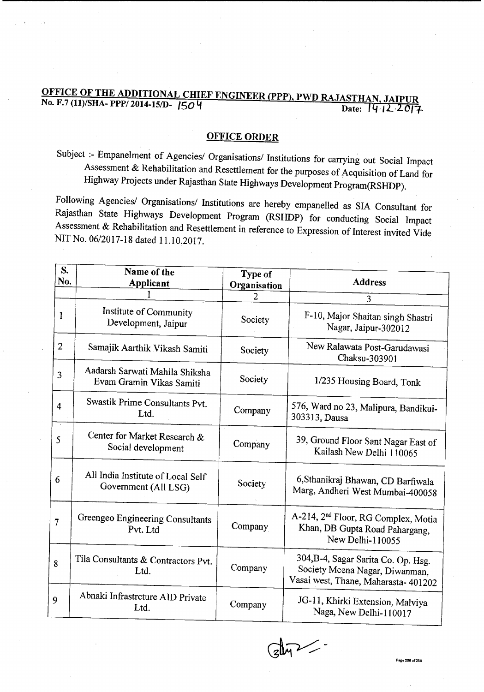## OFFICE OF THE ADDITIONAL CHIEF ENGINEER (PPP), PWD RAJASTHAN, JAIPUR **No. F.7(11)/SHA-PPP/2014-15/D-1504**

## OFFICE ORDER

SUbject ;- Empanelment of Agencies/ Organisations/ Institutions for carrying out Social Impact Assessment & Rehabilitation and Resettlement for the purposes of Acquisition of Land for Highway Projects under Rajasthan State Highways Development Program(RSHDP).

Following Agencies/ Organisations/ Institutions are hereby empanelled as SIA Consultant for Rajasthan State Highways Development Program (RSHDP) for conducting Social Impact Assessment & Rehabilitation and Resettlement in reference to Expression of Interest invited Vide NIT No. 06/2017-18 dated 11.10.2017.

| S.<br>No.      | Name of the<br>Applicant                                   | Type of<br>Organisation | <b>Address</b>                                                                                                |
|----------------|------------------------------------------------------------|-------------------------|---------------------------------------------------------------------------------------------------------------|
|                |                                                            | $\overline{2}$          | 3                                                                                                             |
| 1              | Institute of Community<br>Development, Jaipur              | Society                 | F-10, Major Shaitan singh Shastri<br>Nagar, Jaipur-302012                                                     |
| $\overline{2}$ | Samajik Aarthik Vikash Samiti                              | Society                 | New Ralawata Post-Garudawasi<br>Chaksu-303901                                                                 |
| 3              | Aadarsh Sarwati Mahila Shiksha<br>Evam Gramin Vikas Samiti | Society                 | 1/235 Housing Board, Tonk                                                                                     |
| $\overline{4}$ | Swastik Prime Consultants Pvt.<br>Ltd.                     | Company                 | 576, Ward no 23, Malipura, Bandikui-<br>303313, Dausa                                                         |
| 5              | Center for Market Research &<br>Social development         | Company                 | 39, Ground Floor Sant Nagar East of<br>Kailash New Delhi 110065                                               |
| 6              | All India Institute of Local Self<br>Government (All LSG)  | Society                 | 6, Sthanikraj Bhawan, CD Barfiwala<br>Marg, Andheri West Mumbai-400058                                        |
| 7              | Greengeo Engineering Consultants<br>Pvt. Ltd               | Company                 | A-214, 2 <sup>nd</sup> Floor, RG Complex, Motia<br>Khan, DB Gupta Road Pahargang,<br>New Delhi-110055         |
| 8              | Tila Consultants & Contractors Pvt.<br>Ltd.                | Company                 | 304, B-4, Sagar Sarita Co. Op. Hsg.<br>Society Meena Nagar, Diwanman,<br>Vasai west, Thane, Maharasta- 401202 |
| 9              | Abnaki Infrastrcture AID Private<br>Ltd.                   | Company                 | JG-11, Khirki Extension, Malviya<br>Naga, New Delhi-110017                                                    |

 $\sim$